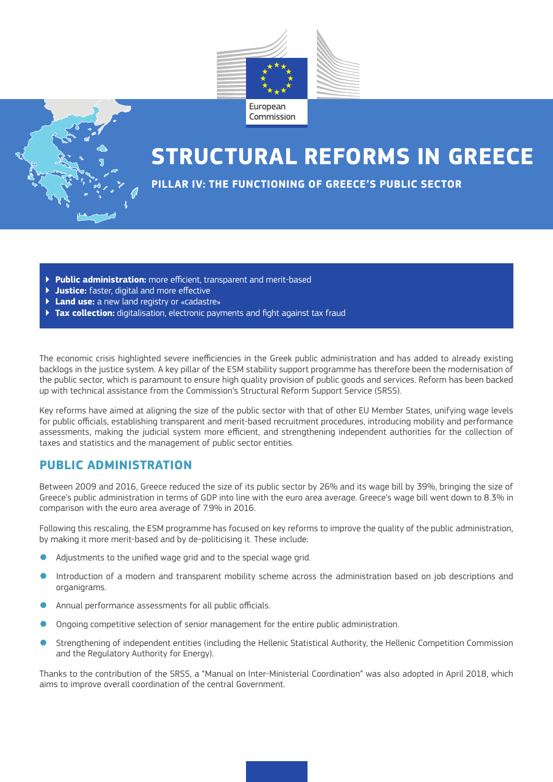



# **STRUCTURAL REFORMS IN GREECE**

**PILLAR IV: THE FUNCTIONING OF GREECE'S PUBLIC SECTOR** 

- ▶ **Public administration:** more efficient, transparent and merit-based
- ▶ **Justice:** faster, digital and more effective
- ▶ **Land use:** a new land registry or «cadastre»
- ▶ **Tax collection:** digitalisation, electronic payments and fight against tax fraud

The economic crisis highlighted severe inefficiencies in the Greek public administration and has added to already existing backlogs in the justice system. A key pillar of the ESM stability support programme has therefore been the modernisation of the public sector, which is paramount to ensure high quality provision of public goods and services. Reform has been backed up with technical assistance from the Commission's Structural Reform Support Service (SRSS).

Key reforms have aimed at aligning the size of the public sector with that of other EU Member States, unifying wage levels for public officials, establishing transparent and merit-based recruitment procedures, introducing mobility and performance assessments, making the judicial system more efficient, and strengthening independent authorities for the collection of taxes and statistics and the management of public sector entities.

### **PUBLIC ADMINISTRATION**

Between 2009 and 2016, Greece reduced the size of its public sector by 26% and its wage bill by 39%, bringing the size of Greece's public administration in terms of GDP into line with the euro area average. Greece's wage bill went down to 8.3% in comparison with the euro area average of 7.9% in 2016.

Following this rescaling, the ESM programme has focused on key reforms to improve the quality of the public administration, by making it more merit-based and by de-politicising it. These include:

- Adjustments to the unified wage grid and to the special wage grid.
- Introduction of a modern and transparent mobility scheme across the administration based on job descriptions and organigrams.
- Annual performance assessments for all public officials.
- Ongoing competitive selection of senior management for the entire public administration.
- Strengthening of independent entities (including the Hellenic Statistical Authority, the Hellenic Competition Commission and the Regulatory Authority for Energy).

Thanks to the contribution of the SRSS, a "Manual on Inter-Ministerial Coordination" was also adopted in April 2018, which aims to improve overall coordination of the central Government.